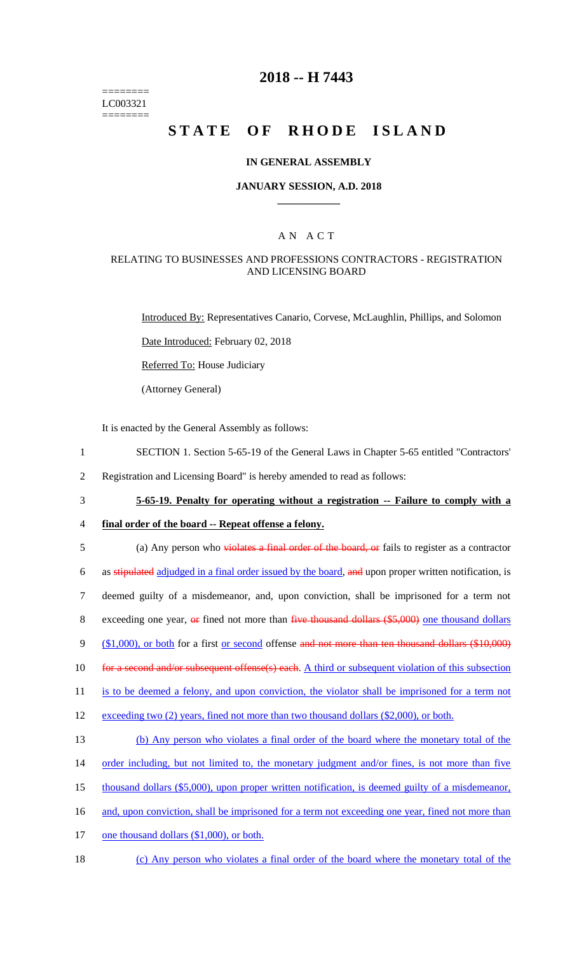======== LC003321 ========

## **2018 -- H 7443**

# STATE OF RHODE ISLAND

### **IN GENERAL ASSEMBLY**

#### **JANUARY SESSION, A.D. 2018 \_\_\_\_\_\_\_\_\_\_\_\_**

### A N A C T

### RELATING TO BUSINESSES AND PROFESSIONS CONTRACTORS - REGISTRATION AND LICENSING BOARD

Introduced By: Representatives Canario, Corvese, McLaughlin, Phillips, and Solomon

Date Introduced: February 02, 2018

Referred To: House Judiciary

(Attorney General)

It is enacted by the General Assembly as follows:

- 1 SECTION 1. Section 5-65-19 of the General Laws in Chapter 5-65 entitled "Contractors'
- 2 Registration and Licensing Board" is hereby amended to read as follows:
- 3 **5-65-19. Penalty for operating without a registration -- Failure to comply with a**
- 4 **final order of the board -- Repeat offense a felony.**

5 (a) Any person who violates a final order of the board, or fails to register as a contractor 6 as stipulated adjudged in a final order issued by the board, and upon proper written notification, is 7 deemed guilty of a misdemeanor, and, upon conviction, shall be imprisoned for a term not 8 exceeding one year, or fined not more than five thousand dollars (\$5,000) one thousand dollars 9 (\$1,000), or both for a first or second offense and not more than ten thousand dollars (\$10,000) 10 for a second and/or subsequent offense(s) each. A third or subsequent violation of this subsection 11 is to be deemed a felony, and upon conviction, the violator shall be imprisoned for a term not 12 exceeding two (2) years, fined not more than two thousand dollars (\$2,000), or both. 13 (b) Any person who violates a final order of the board where the monetary total of the 14 order including, but not limited to, the monetary judgment and/or fines, is not more than five 15 thousand dollars (\$5,000), upon proper written notification, is deemed guilty of a misdemeanor, 16 and, upon conviction, shall be imprisoned for a term not exceeding one year, fined not more than 17 one thousand dollars (\$1,000), or both.

18 (c) Any person who violates a final order of the board where the monetary total of the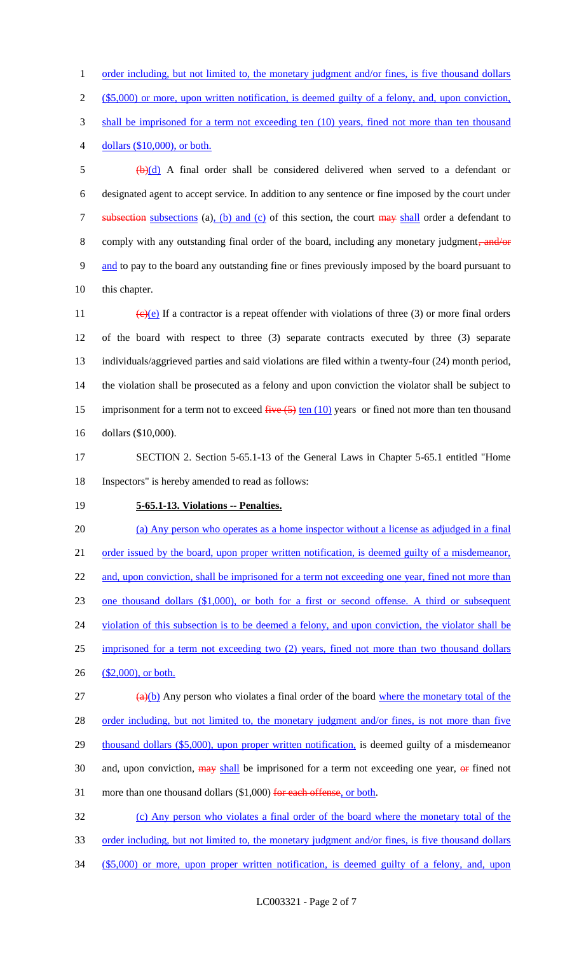1 order including, but not limited to, the monetary judgment and/or fines, is five thousand dollars 2 (\$5,000) or more, upon written notification, is deemed guilty of a felony, and, upon conviction, 3 shall be imprisoned for a term not exceeding ten (10) years, fined not more than ten thousand 4 dollars (\$10,000), or both.

 $\frac{1}{2}$  (b)(d) A final order shall be considered delivered when served to a defendant or 6 designated agent to accept service. In addition to any sentence or fine imposed by the court under 7 subsection subsections (a), (b) and (c) of this section, the court may shall order a defendant to 8 comply with any outstanding final order of the board, including any monetary judgment, and/or 9 and to pay to the board any outstanding fine or fines previously imposed by the board pursuant to 10 this chapter.

 $\left(\frac{e}{e}\right)$  If a contractor is a repeat offender with violations of three (3) or more final orders of the board with respect to three (3) separate contracts executed by three (3) separate individuals/aggrieved parties and said violations are filed within a twenty-four (24) month period, the violation shall be prosecuted as a felony and upon conviction the violator shall be subject to 15 imprisonment for a term not to exceed  $\frac{f^2}{4}$  ten (10) years or fined not more than ten thousand dollars (\$10,000).

17 SECTION 2. Section 5-65.1-13 of the General Laws in Chapter 5-65.1 entitled "Home 18 Inspectors" is hereby amended to read as follows:

### 19 **5-65.1-13. Violations -- Penalties.**

20 (a) Any person who operates as a home inspector without a license as adjudged in a final 21 order issued by the board, upon proper written notification, is deemed guilty of a misdemeanor, 22 and, upon conviction, shall be imprisoned for a term not exceeding one year, fined not more than 23 one thousand dollars (\$1,000), or both for a first or second offense. A third or subsequent 24 violation of this subsection is to be deemed a felony, and upon conviction, the violator shall be 25 imprisoned for a term not exceeding two (2) years, fined not more than two thousand dollars 26 (\$2,000), or both.  $\left(\frac{a}{b}\right)$  Any person who violates a final order of the board where the monetary total of the 28 order including, but not limited to, the monetary judgment and/or fines, is not more than five 29 thousand dollars (\$5,000), upon proper written notification, is deemed guilty of a misdemeanor 30 and, upon conviction,  $\frac{may}{head}$  be imprisoned for a term not exceeding one year,  $\frac{or}{or}$  fined not

31 more than one thousand dollars (\$1,000) for each offense, or both.

32 (c) Any person who violates a final order of the board where the monetary total of the 33 order including, but not limited to, the monetary judgment and/or fines, is five thousand dollars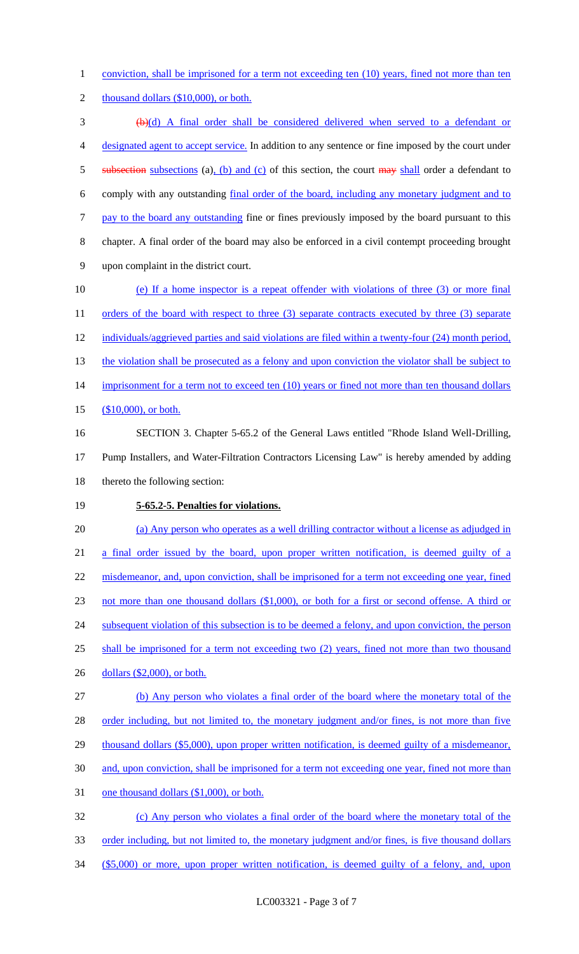1 conviction, shall be imprisoned for a term not exceeding ten (10) years, fined not more than ten

2 thousand dollars (\$10,000), or both.

 (b)(d) A final order shall be considered delivered when served to a defendant or designated agent to accept service. In addition to any sentence or fine imposed by the court under 5 subsection subsections (a), (b) and (c) of this section, the court may shall order a defendant to comply with any outstanding final order of the board, including any monetary judgment and to 7 pay to the board any outstanding fine or fines previously imposed by the board pursuant to this chapter. A final order of the board may also be enforced in a civil contempt proceeding brought upon complaint in the district court.

10 (e) If a home inspector is a repeat offender with violations of three (3) or more final 11 orders of the board with respect to three (3) separate contracts executed by three (3) separate 12 individuals/aggrieved parties and said violations are filed within a twenty-four (24) month period, 13 the violation shall be prosecuted as a felony and upon conviction the violator shall be subject to 14 imprisonment for a term not to exceed ten (10) years or fined not more than ten thousand dollars 15 (\$10,000), or both. 16 SECTION 3. Chapter 5-65.2 of the General Laws entitled "Rhode Island Well-Drilling,

17 Pump Installers, and Water-Filtration Contractors Licensing Law" is hereby amended by adding 18 thereto the following section:

19 **5-65.2-5. Penalties for violations.**

20 (a) Any person who operates as a well drilling contractor without a license as adjudged in 21 a final order issued by the board, upon proper written notification, is deemed guilty of a 22 misdemeanor, and, upon conviction, shall be imprisoned for a term not exceeding one year, fined 23 not more than one thousand dollars (\$1,000), or both for a first or second offense. A third or 24 subsequent violation of this subsection is to be deemed a felony, and upon conviction, the person 25 shall be imprisoned for a term not exceeding two (2) years, fined not more than two thousand 26 dollars (\$2,000), or both. 27 (b) Any person who violates a final order of the board where the monetary total of the 28 order including, but not limited to, the monetary judgment and/or fines, is not more than five

29 thousand dollars (\$5,000), upon proper written notification, is deemed guilty of a misdemeanor,

- 30 and, upon conviction, shall be imprisoned for a term not exceeding one year, fined not more than
- 31 one thousand dollars (\$1,000), or both.

32 (c) Any person who violates a final order of the board where the monetary total of the 33 order including, but not limited to, the monetary judgment and/or fines, is five thousand dollars 34 (\$5,000) or more, upon proper written notification, is deemed guilty of a felony, and, upon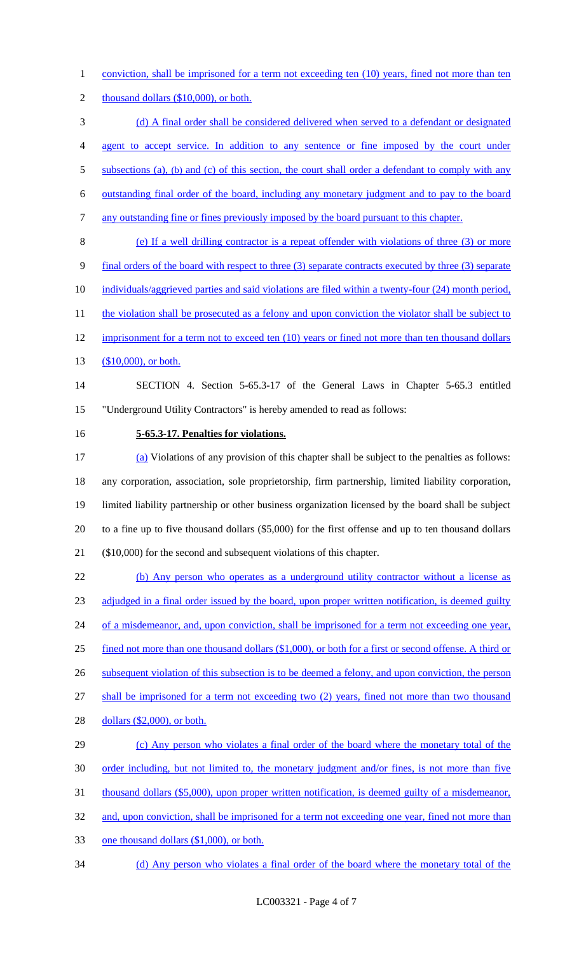conviction, shall be imprisoned for a term not exceeding ten (10) years, fined not more than ten

2 thousand dollars (\$10,000), or both.

(d) A final order shall be considered delivered when served to a defendant or designated

agent to accept service. In addition to any sentence or fine imposed by the court under

5 subsections (a), (b) and (c) of this section, the court shall order a defendant to comply with any

outstanding final order of the board, including any monetary judgment and to pay to the board

any outstanding fine or fines previously imposed by the board pursuant to this chapter.

(e) If a well drilling contractor is a repeat offender with violations of three (3) or more

- final orders of the board with respect to three (3) separate contracts executed by three (3) separate
- individuals/aggrieved parties and said violations are filed within a twenty-four (24) month period,
- 11 the violation shall be prosecuted as a felony and upon conviction the violator shall be subject to
- 12 imprisonment for a term not to exceed ten (10) years or fined not more than ten thousand dollars
- 13 (\$10,000), or both.

# SECTION 4. Section 5-65.3-17 of the General Laws in Chapter 5-65.3 entitled "Underground Utility Contractors" is hereby amended to read as follows:

### **5-65.3-17. Penalties for violations.**

 (a) Violations of any provision of this chapter shall be subject to the penalties as follows: any corporation, association, sole proprietorship, firm partnership, limited liability corporation, limited liability partnership or other business organization licensed by the board shall be subject to a fine up to five thousand dollars (\$5,000) for the first offense and up to ten thousand dollars (\$10,000) for the second and subsequent violations of this chapter.

 (b) Any person who operates as a underground utility contractor without a license as 23 adjudged in a final order issued by the board, upon proper written notification, is deemed guilty 24 of a misdemeanor, and, upon conviction, shall be imprisoned for a term not exceeding one year, fined not more than one thousand dollars (\$1,000), or both for a first or second offense. A third or 26 subsequent violation of this subsection is to be deemed a felony, and upon conviction, the person shall be imprisoned for a term not exceeding two (2) years, fined not more than two thousand dollars (\$2,000), or both. (c) Any person who violates a final order of the board where the monetary total of the order including, but not limited to, the monetary judgment and/or fines, is not more than five 31 thousand dollars (\$5,000), upon proper written notification, is deemed guilty of a misdemeanor, 32 and, upon conviction, shall be imprisoned for a term not exceeding one year, fined not more than

- one thousand dollars (\$1,000), or both.
- (d) Any person who violates a final order of the board where the monetary total of the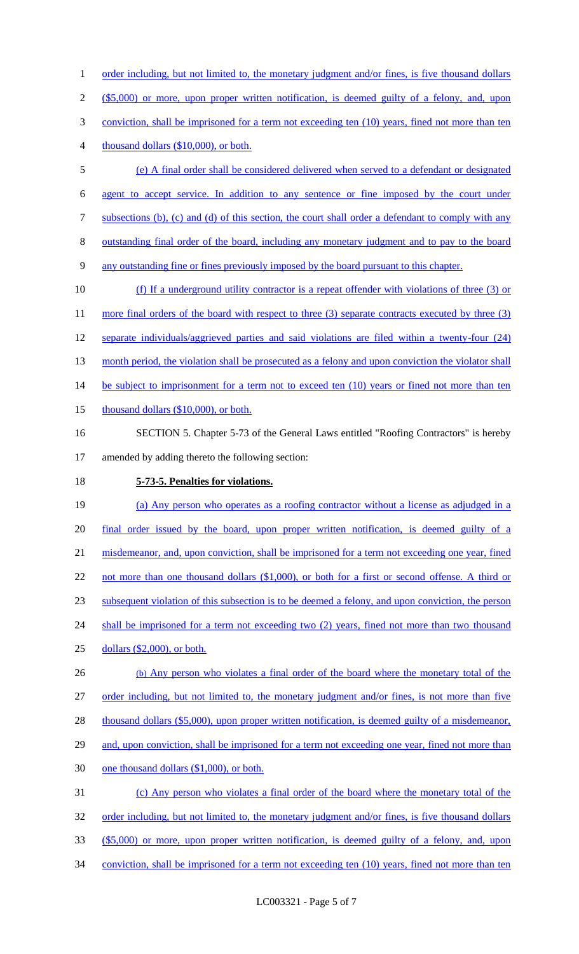1 order including, but not limited to, the monetary judgment and/or fines, is five thousand dollars (\$5,000) or more, upon proper written notification, is deemed guilty of a felony, and, upon 3 conviction, shall be imprisoned for a term not exceeding ten (10) years, fined not more than ten thousand dollars (\$10,000), or both. (e) A final order shall be considered delivered when served to a defendant or designated agent to accept service. In addition to any sentence or fine imposed by the court under subsections (b), (c) and (d) of this section, the court shall order a defendant to comply with any outstanding final order of the board, including any monetary judgment and to pay to the board any outstanding fine or fines previously imposed by the board pursuant to this chapter. (f) If a underground utility contractor is a repeat offender with violations of three (3) or

11 more final orders of the board with respect to three (3) separate contracts executed by three (3) 12 separate individuals/aggrieved parties and said violations are filed within a twenty-four (24) 13 month period, the violation shall be prosecuted as a felony and upon conviction the violator shall 14 be subject to imprisonment for a term not to exceed ten (10) years or fined not more than ten 15 thousand dollars (\$10,000), or both. 16 SECTION 5. Chapter 5-73 of the General Laws entitled "Roofing Contractors" is hereby

17 amended by adding thereto the following section:

18 **5-73-5. Penalties for violations.**

 (a) Any person who operates as a roofing contractor without a license as adjudged in a 20 final order issued by the board, upon proper written notification, is deemed guilty of a misdemeanor, and, upon conviction, shall be imprisoned for a term not exceeding one year, fined 22 not more than one thousand dollars (\$1,000), or both for a first or second offense. A third or subsequent violation of this subsection is to be deemed a felony, and upon conviction, the person 24 shall be imprisoned for a term not exceeding two (2) years, fined not more than two thousand dollars (\$2,000), or both. (b) Any person who violates a final order of the board where the monetary total of the order including, but not limited to, the monetary judgment and/or fines, is not more than five

28 thousand dollars (\$5,000), upon proper written notification, is deemed guilty of a misdemeanor, 29 and, upon conviction, shall be imprisoned for a term not exceeding one year, fined not more than 30 one thousand dollars (\$1,000), or both. 31 (c) Any person who violates a final order of the board where the monetary total of the 32 order including, but not limited to, the monetary judgment and/or fines, is five thousand dollars

- 33 (\$5,000) or more, upon proper written notification, is deemed guilty of a felony, and, upon
- 34 conviction, shall be imprisoned for a term not exceeding ten (10) years, fined not more than ten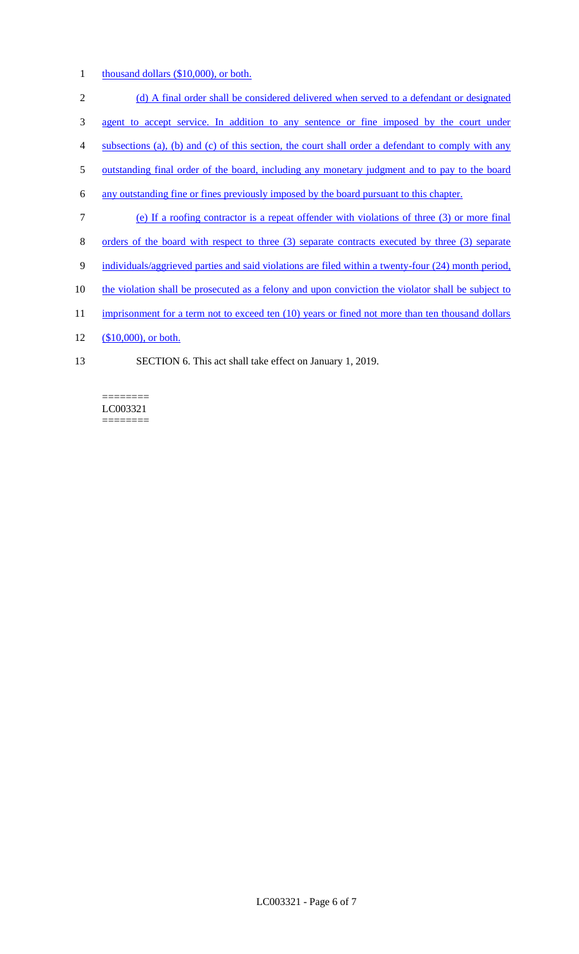1 thousand dollars (\$10,000), or both.

2 (d) A final order shall be considered delivered when served to a defendant or designated 3 agent to accept service. In addition to any sentence or fine imposed by the court under 4 subsections (a), (b) and (c) of this section, the court shall order a defendant to comply with any 5 outstanding final order of the board, including any monetary judgment and to pay to the board 6 any outstanding fine or fines previously imposed by the board pursuant to this chapter. 7 (e) If a roofing contractor is a repeat offender with violations of three (3) or more final 8 orders of the board with respect to three (3) separate contracts executed by three (3) separate 9 individuals/aggrieved parties and said violations are filed within a twenty-four (24) month period, 10 the violation shall be prosecuted as a felony and upon conviction the violator shall be subject to 11 imprisonment for a term not to exceed ten (10) years or fined not more than ten thousand dollars

- 12 (\$10,000), or both.
- 13 SECTION 6. This act shall take effect on January 1, 2019.

LC003321 ========

========